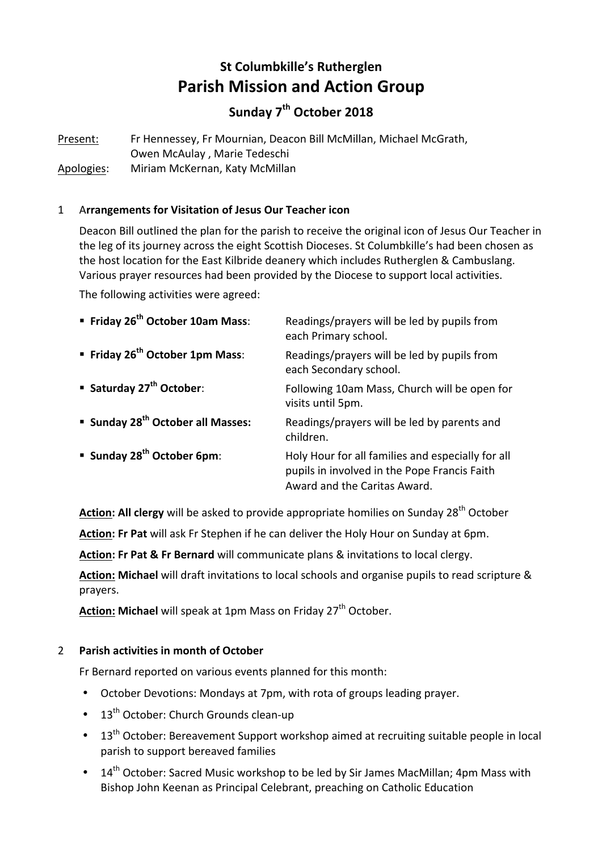# **St Columbkille's Rutherglen Parish Mission and Action Group**

## **Sunday 7th October 2018**

Present: Fr Hennessey, Fr Mournian, Deacon Bill McMillan, Michael McGrath, Owen McAulay, Marie Tedeschi Apologies: Miriam McKernan, Katy McMillan

## 1 A**rrangements for Visitation of Jesus Our Teacher icon**

Deacon Bill outlined the plan for the parish to receive the original icon of Jesus Our Teacher in the leg of its journey across the eight Scottish Dioceses. St Columbkille's had been chosen as the host location for the East Kilbride deanery which includes Rutherglen & Cambuslang. Various prayer resources had been provided by the Diocese to support local activities.

The following activities were agreed:

| Friday 26 <sup>th</sup> October 10am Mass:    | Readings/prayers will be led by pupils from<br>each Primary school.                                                               |
|-----------------------------------------------|-----------------------------------------------------------------------------------------------------------------------------------|
| ■ Friday 26 <sup>th</sup> October 1pm Mass:   | Readings/prayers will be led by pupils from<br>each Secondary school.                                                             |
| ■ Saturday 27 <sup>th</sup> October:          | Following 10am Mass, Church will be open for<br>visits until 5pm.                                                                 |
| ■ Sunday 28 <sup>th</sup> October all Masses: | Readings/prayers will be led by parents and<br>children.                                                                          |
| <b>Sunday 28<sup>th</sup> October 6pm:</b>    | Holy Hour for all families and especially for all<br>pupils in involved in the Pope Francis Faith<br>Award and the Caritas Award. |

**Action: All clergy** will be asked to provide appropriate homilies on Sunday 28<sup>th</sup> October

**Action: Fr Pat** will ask Fr Stephen if he can deliver the Holy Hour on Sunday at 6pm.

**Action: Fr Pat & Fr Bernard** will communicate plans & invitations to local clergy.

**Action: Michael** will draft invitations to local schools and organise pupils to read scripture & prayers.

Action: Michael will speak at 1pm Mass on Friday 27<sup>th</sup> October.

#### 2 **Parish activities in month of October**

Fr Bernard reported on various events planned for this month:

- October Devotions: Mondays at 7pm, with rota of groups leading prayer.
- $\cdot$  13<sup>th</sup> October: Church Grounds clean-up
- 13<sup>th</sup> October: Bereavement Support workshop aimed at recruiting suitable people in local parish to support bereaved families
- 14<sup>th</sup> October: Sacred Music workshop to be led by Sir James MacMillan: 4pm Mass with Bishop John Keenan as Principal Celebrant, preaching on Catholic Education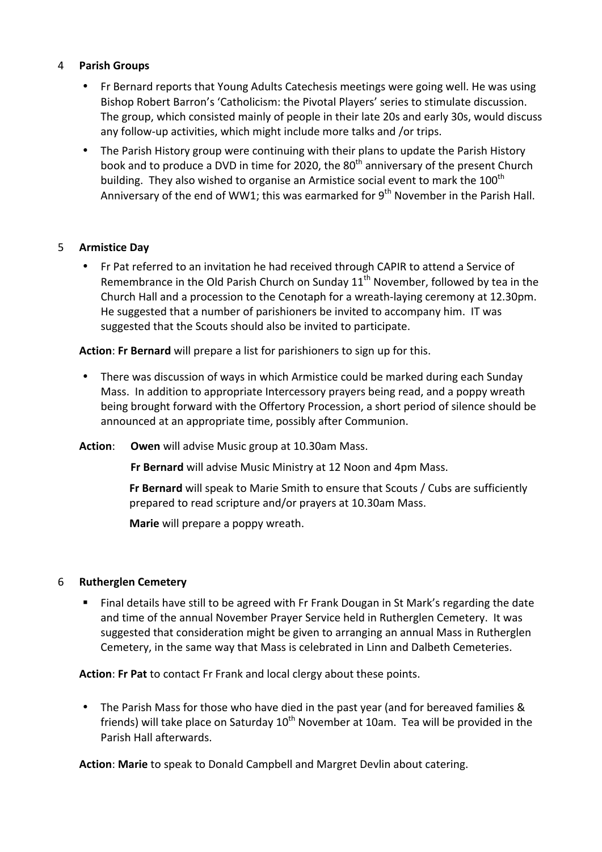#### 4 **Parish Groups**

- Fr Bernard reports that Young Adults Catechesis meetings were going well. He was using Bishop Robert Barron's 'Catholicism: the Pivotal Players' series to stimulate discussion. The group, which consisted mainly of people in their late 20s and early 30s, would discuss any follow-up activities, which might include more talks and /or trips.
- The Parish History group were continuing with their plans to update the Parish History book and to produce a DVD in time for 2020, the  $80<sup>th</sup>$  anniversary of the present Church building. They also wished to organise an Armistice social event to mark the  $100^{th}$ Anniversary of the end of WW1; this was earmarked for  $9<sup>th</sup>$  November in the Parish Hall.

#### 5 **Armistice Day**

Fr Pat referred to an invitation he had received through CAPIR to attend a Service of Remembrance in the Old Parish Church on Sunday  $11^{th}$  November, followed by tea in the Church Hall and a procession to the Cenotaph for a wreath-laying ceremony at 12.30pm. He suggested that a number of parishioners be invited to accompany him. IT was suggested that the Scouts should also be invited to participate.

**Action:** Fr Bernard will prepare a list for parishioners to sign up for this.

- There was discussion of ways in which Armistice could be marked during each Sunday Mass. In addition to appropriate Intercessory prayers being read, and a poppy wreath being brought forward with the Offertory Procession, a short period of silence should be announced at an appropriate time, possibly after Communion.
- **Action:** Owen will advise Music group at 10.30am Mass.

**Fr Bernard** will advise Music Ministry at 12 Noon and 4pm Mass.

**Fr Bernard** will speak to Marie Smith to ensure that Scouts / Cubs are sufficiently prepared to read scripture and/or prayers at 10.30am Mass.

**Marie** will prepare a poppy wreath.

#### 6 **Rutherglen Cemetery**

Final details have still to be agreed with Fr Frank Dougan in St Mark's regarding the date and time of the annual November Prayer Service held in Rutherglen Cemetery. It was suggested that consideration might be given to arranging an annual Mass in Rutherglen Cemetery, in the same way that Mass is celebrated in Linn and Dalbeth Cemeteries.

Action: Fr Pat to contact Fr Frank and local clergy about these points.

• The Parish Mass for those who have died in the past year (and for bereaved families & friends) will take place on Saturday  $10^{th}$  November at 10am. Tea will be provided in the Parish Hall afterwards.

**Action: Marie** to speak to Donald Campbell and Margret Devlin about catering.